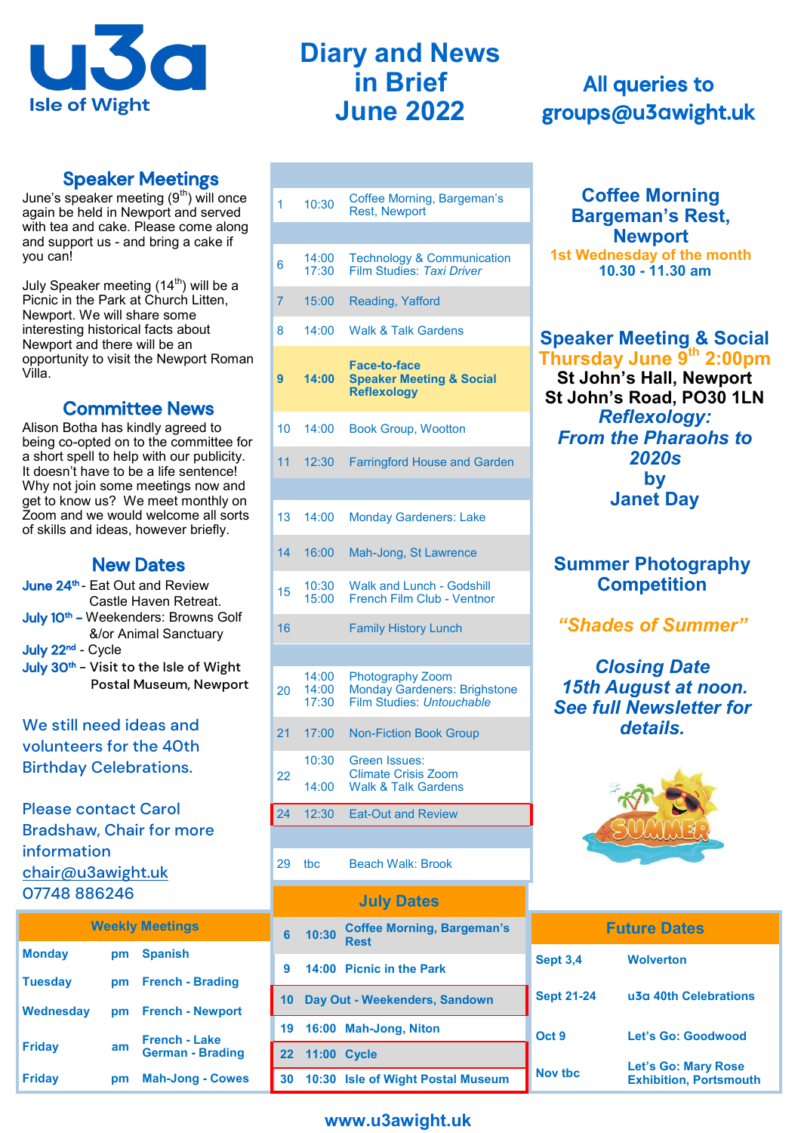

# Speaker Meetings

June's speaker meeting  $(9<sup>th</sup>)$  will once again be held in Newport and served with tea and cake. Please come along and support us - and bring a cake if you can!

July Speaker meeting (14<sup>th</sup>) will be a Picnic in the Park at Church Litten, Newport. We will share some interesting historical facts about Newport and there will be an opportunity to visit the Newport Roman Villa.

# Committee News

Alison Botha has kindly agreed to being co-opted on to the committee for a short spell to help with our publicity. It doesn't have to be a life sentence! Why not join some meetings now and get to know us? We meet monthly on Zoom and we would welcome all sorts of skills and ideas, however briefly.

## New Dates

| June 24th - Eat Out and Review                     |
|----------------------------------------------------|
| Castle Haven Retreat.                              |
| July 10 <sup>th</sup> - Weekenders: Browns Golf    |
| &/or Animal Sanctuary                              |
| July 22 <sup>nd</sup> - Cycle                      |
| July 30 <sup>th</sup> - Visit to the Isle of Wight |
| Postal Museum, Newport                             |

## We still need ideas and volunteers for the 40th Birthday Celebrations.

Please contact Carol Bradshaw, Chair for more information chair@u3awight.uk 07748 886246

| <b>Weekly Meetings</b> |    |                                                 |  |  |
|------------------------|----|-------------------------------------------------|--|--|
| <b>Monday</b>          | pm | <b>Spanish</b>                                  |  |  |
| <b>Tuesday</b>         |    | pm French - Brading                             |  |  |
| Wednesday              |    | pm French - Newport                             |  |  |
| <b>Friday</b>          | am | <b>French - Lake</b><br><b>German - Brading</b> |  |  |
| <b>Friday</b>          | рm | <b>Mah-Jong - Cowes</b>                         |  |  |

# **Diary and News in Brief June 2022**

| 8           | 14:00                   | <b>Walk &amp; Talk Gardens</b>                                                              |  |
|-------------|-------------------------|---------------------------------------------------------------------------------------------|--|
| 9           | 14:00                   | <b>Face-to-face</b><br><b>Speaker Meeting &amp; Social</b><br><b>Reflexology</b>            |  |
| 10          | 14:00                   | <b>Book Group, Wootton</b>                                                                  |  |
| 11          | 12:30                   | <b>Farringford House and Garden</b>                                                         |  |
|             |                         |                                                                                             |  |
| 13          | 14:00                   | <b>Monday Gardeners: Lake</b>                                                               |  |
| 14          | 16:00                   | Mah-Jong, St Lawrence                                                                       |  |
| 15          | 10:30<br>15:00          | <b>Walk and Lunch - Godshill</b><br>French Film Club - Ventnor                              |  |
| 16          |                         | <b>Family History Lunch</b>                                                                 |  |
|             |                         |                                                                                             |  |
| 20          | 14:00<br>14:00<br>17:30 | <b>Photography Zoom</b><br><b>Monday Gardeners: Brighstone</b><br>Film Studies: Untouchable |  |
| 21          | 17:00                   | <b>Non-Fiction Book Group</b>                                                               |  |
|             | 10:30                   | <b>Green Issues:</b>                                                                        |  |
| 22<br>14:00 |                         | <b>Climate Crisis Zoom</b><br><b>Walk &amp; Talk Gardens</b>                                |  |
| 24          | 12:30                   | <b>Eat-Out and Review</b>                                                                   |  |
|             |                         |                                                                                             |  |
| 29          | tbc                     | <b>Beach Walk: Brook</b>                                                                    |  |
|             |                         | <b>July Dates</b>                                                                           |  |
|             |                         | <b>Coffee Morning, Bargeman's</b>                                                           |  |

# **Rest 9 14:00 Picnic in the Park 10 Day Out - Weekenders, Sandown 19 16:00 Mah-Jong, Niton 22 11:00 Cycle 30 10:30 Isle of Wight Postal Museum**

# All queries to groups@u**3a**wight.uk

**Coffee Morning Bargeman's Rest, Newport 1st Wednesday of the month 10.30 - 11.30 am**

**Speaker Meeting & Social Thursday June 9th 2:00pm St John's Hall, Newport St John's Road, PO30 1LN** *Reflexology: From the Pharaohs to 2020s* **by Janet Day**

## **Summer Photography Competition**

# *"Shades of Summer"*

*Closing Date 15th August at noon. See full Newsletter for details.*



| n's | <b>Future Dates</b> |                                                             |  |  |
|-----|---------------------|-------------------------------------------------------------|--|--|
|     | <b>Sept 3.4</b>     | <b>Wolverton</b>                                            |  |  |
|     | <b>Sept 21-24</b>   | u3a 40th Celebrations                                       |  |  |
|     | Oct 9               | Let's Go: Goodwood                                          |  |  |
|     | Nov the             | <b>Let's Go: Mary Rose</b><br><b>Exhibition, Portsmouth</b> |  |  |

## **www.u3awight.uk**